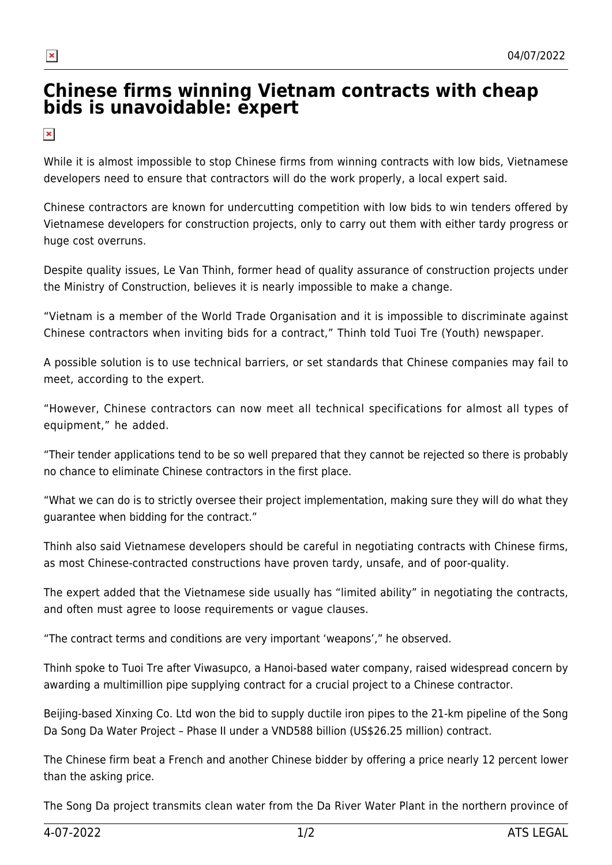## **Chinese firms winning Vietnam contracts with cheap [bi](http://atslegal.vn/chinese-firms-winning-vietnam-contracts-with-cheap-bids-is-unavoidable-expert/)ds is unavoidable: expert**

 $\pmb{\times}$ 

 $\pmb{\times}$ 

*While it is almost impossible to stop Chinese firms from winning contracts with low bids, Vietnamese developers need to ensure that contractors will do the work properly, a local expert said.*

*Chinese contractors are known for undercutting competition with low bids to win tenders offered by Vietnamese developers for construction projects, only to carry out them with either tardy progress or huge cost overruns.*

*Despite quality issues, Le Van Thinh, former head of quality assurance of construction projects under the Ministry of Construction, believes it is nearly impossible to make a change.*

*"Vietnam is a member of the World Trade Organisation and it is impossible to discriminate against Chinese contractors when inviting bids for a contract," Thinh told Tuoi Tre (Youth) newspaper.*

*A possible solution is to use technical barriers, or set standards that Chinese companies may fail to meet, according to the expert.*

*"However, Chinese contractors can now meet all technical specifications for almost all types of equipment," he added.*

"Their tender applications tend to be so well prepared that they cannot be rejected so there is probably *no chance to eliminate Chinese contractors in the first place.*

"What we can do is to strictly oversee their project implementation, making sure they will do what they *guarantee when bidding for the contract."*

*Thinh also said Vietnamese developers should be careful in negotiating contracts with Chinese firms, as most Chinese-contracted constructions have proven tardy, unsafe, and of poor-quality.*

*The expert added that the Vietnamese side usually has "limited ability" in negotiating the contracts, and often must agree to loose requirements or vague clauses.*

*"The contract terms and conditions are very important 'weapons'," he observed.*

*Thinh spoke to Tuoi Tre after Viwasupco, a Hanoi-based water company, raised widespread concern by awarding a multimillion pipe supplying contract for a crucial project to a Chinese contractor.*

Beijing-based Xinxing Co. Ltd won the bid to supply ductile iron pipes to the 21-km pipeline of the Song *Da Song Da Water Project – Phase II under a VND588 billion (US\$26.25 million) contract.*

The Chinese firm beat a French and another Chinese bidder by offering a price nearly 12 percent lower *than the asking price.*

The Song Da project transmits clean water from the Da River Water Plant in the northern province of